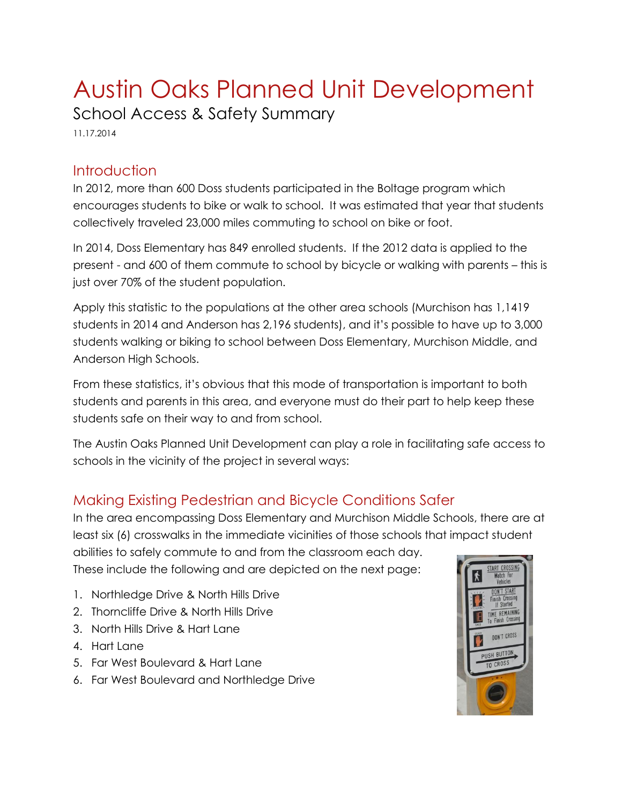# Austin Oaks Planned Unit Development School Access & Safety Summary

11.17.2014

#### **Introduction**

In 2012, more than 600 Doss students participated in the Boltage program which encourages students to bike or walk to school. It was estimated that year that students collectively traveled 23,000 miles commuting to school on bike or foot.

In 2014, Doss Elementary has 849 enrolled students. If the 2012 data is applied to the present - and 600 of them commute to school by bicycle or walking with parents – this is just over 70% of the student population.

Apply this statistic to the populations at the other area schools (Murchison has 1,1419 students in 2014 and Anderson has 2,196 students), and it's possible to have up to 3,000 students walking or biking to school between Doss Elementary, Murchison Middle, and Anderson High Schools.

From these statistics, it's obvious that this mode of transportation is important to both students and parents in this area, and everyone must do their part to help keep these students safe on their way to and from school.

The Austin Oaks Planned Unit Development can play a role in facilitating safe access to schools in the vicinity of the project in several ways:

## Making Existing Pedestrian and Bicycle Conditions Safer

In the area encompassing Doss Elementary and Murchison Middle Schools, there are at least six (6) crosswalks in the immediate vicinities of those schools that impact student abilities to safely commute to and from the classroom each day.

These include the following and are depicted on the next page:

- 1. Northledge Drive & North Hills Drive
- 2. Thorncliffe Drive & North Hills Drive
- 3. North Hills Drive & Hart Lane
- 4. Hart Lane
- 5. Far West Boulevard & Hart Lane
- 6. Far West Boulevard and Northledge Drive

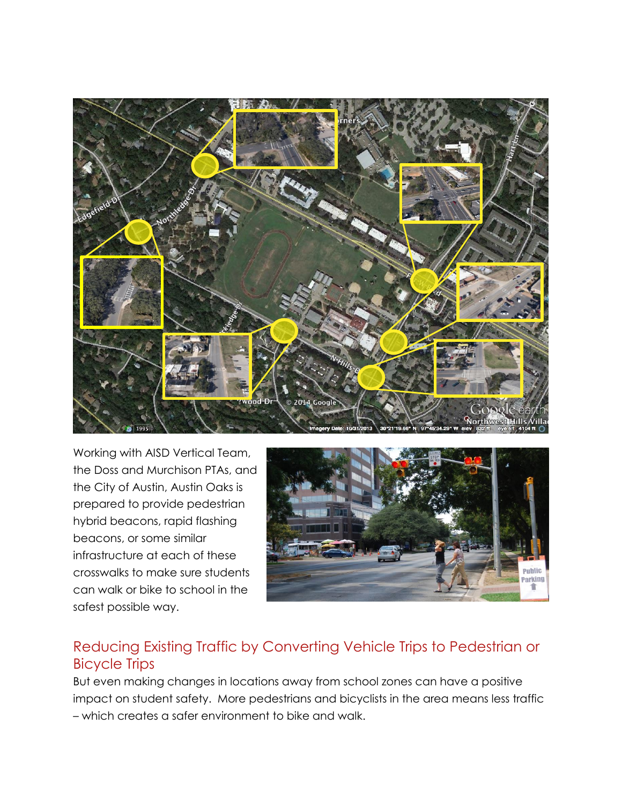

Working with AISD Vertical Team, the Doss and Murchison PTAs, and the City of Austin, Austin Oaks is prepared to provide pedestrian hybrid beacons, rapid flashing beacons, or some similar infrastructure at each of these crosswalks to make sure students can walk or bike to school in the safest possible way.

![](_page_1_Picture_2.jpeg)

### Reducing Existing Traffic by Converting Vehicle Trips to Pedestrian or Bicycle Trips

But even making changes in locations away from school zones can have a positive impact on student safety. More pedestrians and bicyclists in the area means less traffic – which creates a safer environment to bike and walk.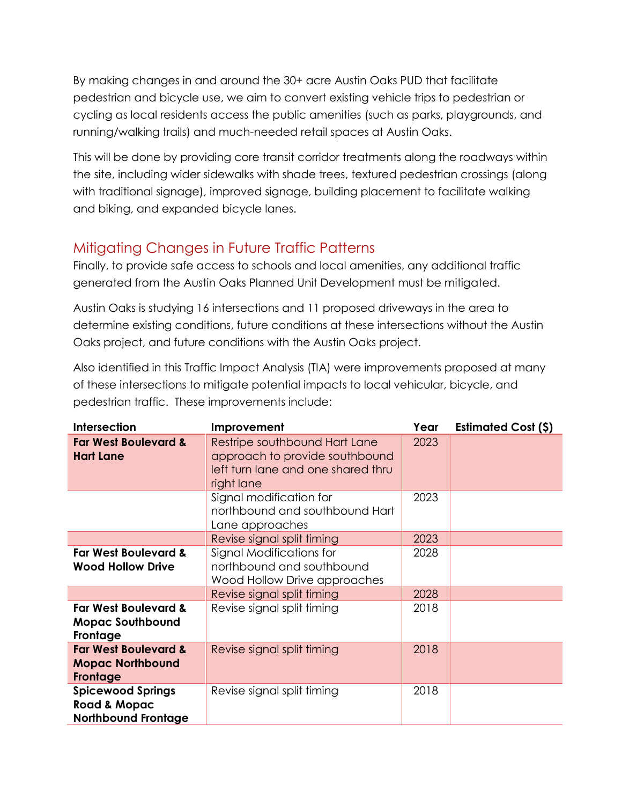By making changes in and around the 30+ acre Austin Oaks PUD that facilitate pedestrian and bicycle use, we aim to convert existing vehicle trips to pedestrian or cycling as local residents access the public amenities (such as parks, playgrounds, and running/walking trails) and much-needed retail spaces at Austin Oaks.

This will be done by providing core transit corridor treatments along the roadways within the site, including wider sidewalks with shade trees, textured pedestrian crossings (along with traditional signage), improved signage, building placement to facilitate walking and biking, and expanded bicycle lanes.

## Mitigating Changes in Future Traffic Patterns

Finally, to provide safe access to schools and local amenities, any additional traffic generated from the Austin Oaks Planned Unit Development must be mitigated.

Austin Oaks is studying 16 intersections and 11 proposed driveways in the area to determine existing conditions, future conditions at these intersections without the Austin Oaks project, and future conditions with the Austin Oaks project.

Also identified in this Traffic Impact Analysis (TIA) were improvements proposed at many of these intersections to mitigate potential impacts to local vehicular, bicycle, and pedestrian traffic. These improvements include:

| <b>Intersection</b>                                                               | Improvement                                                                                                         | Year | <b>Estimated Cost (\$)</b> |
|-----------------------------------------------------------------------------------|---------------------------------------------------------------------------------------------------------------------|------|----------------------------|
| <b>Far West Boulevard &amp;</b><br><b>Hart Lane</b>                               | Restripe southbound Hart Lane<br>approach to provide southbound<br>left turn lane and one shared thru<br>right lane | 2023 |                            |
|                                                                                   | Signal modification for<br>northbound and southbound Hart<br>Lane approaches                                        | 2023 |                            |
|                                                                                   | Revise signal split timing                                                                                          | 2023 |                            |
| <b>Far West Boulevard &amp;</b><br><b>Wood Hollow Drive</b>                       | Signal Modifications for<br>northbound and southbound<br>Wood Hollow Drive approaches                               | 2028 |                            |
|                                                                                   | Revise signal split timing                                                                                          | 2028 |                            |
| <b>Far West Boulevard &amp;</b><br><b>Mopac Southbound</b><br>Frontage            | Revise signal split timing                                                                                          | 2018 |                            |
| <b>Far West Boulevard &amp;</b><br><b>Mopac Northbound</b><br>Frontage            | Revise signal split timing                                                                                          | 2018 |                            |
| <b>Spicewood Springs</b><br><b>Road &amp; Mopac</b><br><b>Northbound Frontage</b> | Revise signal split timing                                                                                          | 2018 |                            |